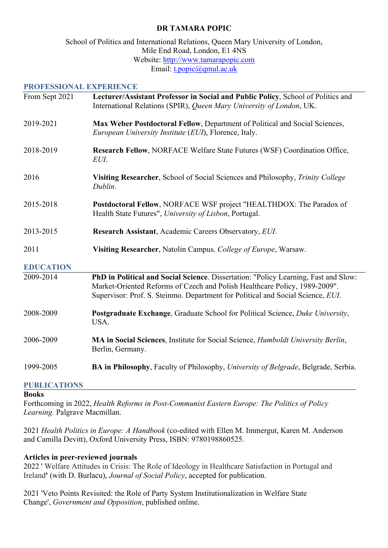## **DR TAMARA POPIC**

### School of Politics and International Relations, Queen Mary University of London, Mile End Road, London, E1 4NS Website: http://www.tamarapopic.com Email: t.popic@qmul.ac.uk

#### **PROFESSIONAL EXPERIENCE**

| From Sept 2021   | Lecturer/Assistant Professor in Social and Public Policy, School of Politics and<br>International Relations (SPIR), Queen Mary University of London, UK.                                                                                             |
|------------------|------------------------------------------------------------------------------------------------------------------------------------------------------------------------------------------------------------------------------------------------------|
| 2019-2021        | Max Weber Postdoctoral Fellow, Department of Political and Social Sciences,<br>European University Institute (EUI), Florence, Italy.                                                                                                                 |
| 2018-2019        | Research Fellow, NORFACE Welfare State Futures (WSF) Coordination Office,<br>EUI.                                                                                                                                                                    |
| 2016             | Visiting Researcher, School of Social Sciences and Philosophy, Trinity College<br>Dublin.                                                                                                                                                            |
| 2015-2018        | Postdoctoral Fellow, NORFACE WSF project "HEALTHDOX: The Paradox of<br>Health State Futures", University of Lisbon, Portugal.                                                                                                                        |
| 2013-2015        | Research Assistant, Academic Careers Observatory, EUI.                                                                                                                                                                                               |
| 2011             | Visiting Researcher, Natolin Campus, College of Europe, Warsaw.                                                                                                                                                                                      |
| <b>EDUCATION</b> |                                                                                                                                                                                                                                                      |
| 2009-2014        | PhD in Political and Social Science. Dissertation: "Policy Learning, Fast and Slow:<br>Market-Oriented Reforms of Czech and Polish Healthcare Policy, 1989-2009".<br>Supervisor: Prof. S. Steinmo. Department for Political and Social Science, EUI. |
| 2008-2009        | <b>Postgraduate Exchange, Graduate School for Political Science, Duke University,</b><br>USA.                                                                                                                                                        |
| 2006-2009        | MA in Social Sciences, Institute for Social Science, Humboldt University Berlin,<br>Berlin, Germany.                                                                                                                                                 |
| 1999-2005        | <b>BA in Philosophy</b> , Faculty of Philosophy, University of Belgrade, Belgrade, Serbia.                                                                                                                                                           |

## **PUBLICATIONS**

#### **Books**

Forthcoming in 2022, *Health Reforms in Post-Communist Eastern Europe: The Politics of Policy Learning.* Palgrave Macmillan.

2021 *Health Politics in Europe: A Handbook* (co-edited with Ellen M. Immergut, Karen M. Anderson and Camilla Devitt), Oxford University Press, ISBN: 9780198860525.

#### **Articles in peer-reviewed journals**

2022 ' Welfare Attitudes in Crisis: The Role of Ideology in Healthcare Satisfaction in Portugal and Ireland**'** (with D. Burlacu), *Journal of Social Policy*, accepted for publication.

2021 'Veto Points Revisited: the Role of Party System Institutionalization in Welfare State Change', *Government and Opposition*, published online.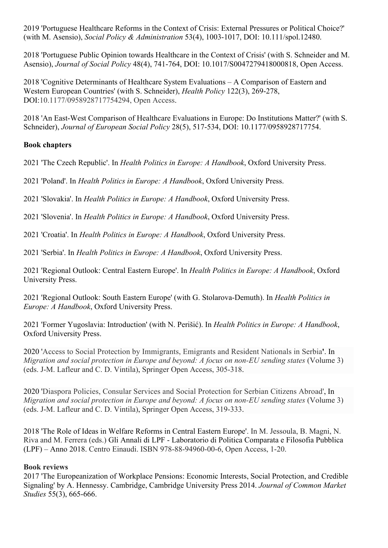2019 'Portuguese Healthcare Reforms in the Context of Crisis: External Pressures or Political Choice?' (with M. Asensio), *Social Policy & Administration* 53(4), 1003-1017, DOI: 10.111/spol.12480.

2018 'Portuguese Public Opinion towards Healthcare in the Context of Crisis' (with S. Schneider and M. Asensio), *Journal of Social Policy* 48(4), 741-764, DOI: 10.1017/S0047279418000818, Open Access.

2018 'Cognitive Determinants of Healthcare System Evaluations – A Comparison of Eastern and Western European Countries' (with S. Schneider), *Health Policy* 122(3), 269-278, DOI:10.1177/0958928717754294, Open Access.

2018 'An East-West Comparison of Healthcare Evaluations in Europe: Do Institutions Matter?' (with S. Schneider), *Journal of European Social Policy* 28(5), 517-534, DOI: 10.1177/0958928717754.

## **Book chapters**

2021 'The Czech Republic'. In *Health Politics in Europe: A Handbook*, Oxford University Press.

2021 'Poland'. In *Health Politics in Europe: A Handbook*, Oxford University Press.

2021 'Slovakia'. In *Health Politics in Europe: A Handbook*, Oxford University Press.

2021 'Slovenia'. In *Health Politics in Europe: A Handbook*, Oxford University Press.

2021 'Croatia'. In *Health Politics in Europe: A Handbook*, Oxford University Press.

2021 'Serbia'. In *Health Politics in Europe: A Handbook*, Oxford University Press.

2021 'Regional Outlook: Central Eastern Europe'. In *Health Politics in Europe: A Handbook*, Oxford University Press.

2021 'Regional Outlook: South Eastern Europe' (with G. Stolarova-Demuth). In *Health Politics in Europe: A Handbook*, Oxford University Press.

2021 'Former Yugoslavia: Introduction' (with N. Perišić). In *Health Politics in Europe: A Handbook*, Oxford University Press.

2020 'Access to Social Protection by Immigrants, Emigrants and Resident Nationals in Serbia**'**. In *Migration and social protection in Europe and beyond: A focus on non-EU sending states* (Volume 3) (eds. J-M. Lafleur and C. D. Vintila), Springer Open Access, 305-318.

2020 'Diaspora Policies, Consular Services and Social Protection for Serbian Citizens Abroad', In *Migration and social protection in Europe and beyond: A focus on non-EU sending states* (Volume 3) (eds. J-M. Lafleur and C. D. Vintila), Springer Open Access, 319-333.

2018 'The Role of Ideas in Welfare Reforms in Central Eastern Europe'. In M. Jessoula, B. Magni, N. Riva and M. Ferrera (eds.) Gli Annali di LPF - Laboratorio di Politica Comparata e Filosofia Pubblica (LPF) – Anno 2018. Centro Einaudi. ISBN 978-88-94960-00-6, Open Access, 1-20.

## **Book reviews**

2017 'The Europeanization of Workplace Pensions: Economic Interests, Social Protection, and Credible Signaling' by A. Hennessy. Cambridge, Cambridge University Press 2014. *Journal of Common Market Studies* 55(3), 665-666.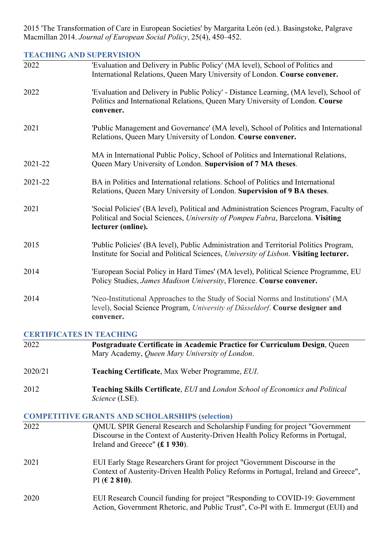2015 'The Transformation of Care in European Societies' by Margarita León (ed.). Basingstoke, Palgrave Macmillan 2014. *Journal of European Social Policy*, 25(4), 450–452.

# **TEACHING AND SUPERVISION**

| 2022                            | 'Evaluation and Delivery in Public Policy' (MA level), School of Politics and<br>International Relations, Queen Mary University of London. Course convener.                                              |
|---------------------------------|----------------------------------------------------------------------------------------------------------------------------------------------------------------------------------------------------------|
| 2022                            | 'Evaluation and Delivery in Public Policy' - Distance Learning, (MA level), School of<br>Politics and International Relations, Queen Mary University of London. Course<br>convener.                      |
| 2021                            | 'Public Management and Governance' (MA level), School of Politics and International<br>Relations, Queen Mary University of London. Course convener.                                                      |
| 2021-22                         | MA in International Public Policy, School of Politics and International Relations,<br>Queen Mary University of London. Supervision of 7 MA theses.                                                       |
| 2021-22                         | BA in Politics and International relations. School of Politics and International<br>Relations, Queen Mary University of London. Supervision of 9 BA theses.                                              |
| 2021                            | 'Social Policies' (BA level), Political and Administration Sciences Program, Faculty of<br>Political and Social Sciences, University of Pompeu Fabra, Barcelona. Visiting<br>lecturer (online).          |
| 2015                            | 'Public Policies' (BA level), Public Administration and Territorial Politics Program,<br>Institute for Social and Political Sciences, University of Lisbon. Visiting lecturer.                           |
| 2014                            | 'European Social Policy in Hard Times' (MA level), Political Science Programme, EU<br>Policy Studies, James Madison University, Florence. Course convener.                                               |
| 2014                            | 'Neo-Institutional Approaches to the Study of Social Norms and Institutions' (MA<br>level), Social Science Program, University of Düsseldorf. Course designer and<br>convener.                           |
| <b>CERTIFICATES IN TEACHING</b> |                                                                                                                                                                                                          |
| 2022                            | Postgraduate Certificate in Academic Practice for Curriculum Design, Queen<br>Mary Academy, Queen Mary University of London.                                                                             |
| 2020/21                         | Teaching Certificate, Max Weber Programme, EUI.                                                                                                                                                          |
| 2012                            | Teaching Skills Certificate, EUI and London School of Economics and Political<br>Science (LSE).                                                                                                          |
|                                 | <b>COMPETITIVE GRANTS AND SCHOLARSHIPS (selection)</b>                                                                                                                                                   |
| 2022                            | QMUL SPIR General Research and Scholarship Funding for project "Government<br>Discourse in the Context of Austerity-Driven Health Policy Reforms in Portugal,<br>Ireland and Greece" $(\pounds 1 930)$ . |
| 2021                            | EUI Early Stage Researchers Grant for project "Government Discourse in the<br>Context of Austerity-Driven Health Policy Reforms in Portugal, Ireland and Greece",                                        |

2020 EUI Research Council funding for project "Responding to COVID-19: Government Action, Government Rhetoric, and Public Trust", Co-PI with E. Immergut (EUI) and

PI (**€ 2 810)**.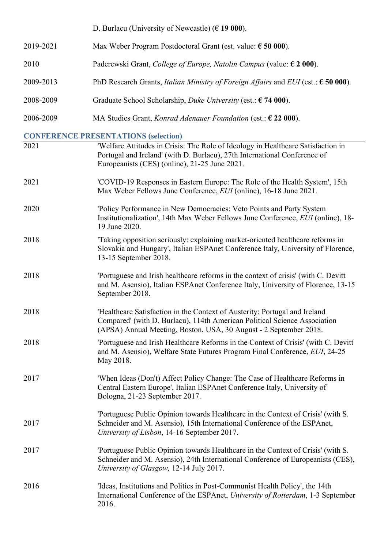|           | D. Burlacu (University of Newcastle) ( $\epsilon$ 19 000).                                                                                                                                                                   |
|-----------|------------------------------------------------------------------------------------------------------------------------------------------------------------------------------------------------------------------------------|
| 2019-2021 | Max Weber Program Postdoctoral Grant (est. value: $\epsilon$ 50 000).                                                                                                                                                        |
| 2010      | Paderewski Grant, College of Europe, Natolin Campus (value: $\epsilon$ 2 000).                                                                                                                                               |
| 2009-2013 | PhD Research Grants, <i>Italian Ministry of Foreign Affairs</i> and <i>EUI</i> (est.: $\epsilon$ 50 000).                                                                                                                    |
| 2008-2009 | Graduate School Scholarship, <i>Duke University</i> (est.: $\epsilon$ 74 000).                                                                                                                                               |
| 2006-2009 | MA Studies Grant, <i>Konrad Adenauer Foundation</i> (est.: $622000$ ).                                                                                                                                                       |
|           | <b>CONFERENCE PRESENTATIONS (selection)</b>                                                                                                                                                                                  |
| 2021      | 'Welfare Attitudes in Crisis: The Role of Ideology in Healthcare Satisfaction in<br>Portugal and Ireland' (with D. Burlacu), 27th International Conference of<br>Europeanists (CES) (online), 21-25 June 2021.               |
| 2021      | 'COVID-19 Responses in Eastern Europe: The Role of the Health System', 15th<br>Max Weber Fellows June Conference, EUI (online), 16-18 June 2021.                                                                             |
| 2020      | 'Policy Performance in New Democracies: Veto Points and Party System<br>Institutionalization', 14th Max Weber Fellows June Conference, EUI (online), 18-<br>19 June 2020.                                                    |
| 2018      | 'Taking opposition seriously: explaining market-oriented healthcare reforms in<br>Slovakia and Hungary', Italian ESPAnet Conference Italy, University of Florence,<br>13-15 September 2018.                                  |
| 2018      | 'Portuguese and Irish healthcare reforms in the context of crisis' (with C. Devitt<br>and M. Asensio), Italian ESPAnet Conference Italy, University of Florence, 13-15<br>September 2018.                                    |
| 2018      | 'Healthcare Satisfaction in the Context of Austerity: Portugal and Ireland<br>Compared' (with D. Burlacu), 114th American Political Science Association<br>(APSA) Annual Meeting, Boston, USA, 30 August - 2 September 2018. |
| 2018      | 'Portuguese and Irish Healthcare Reforms in the Context of Crisis' (with C. Devitt<br>and M. Asensio), Welfare State Futures Program Final Conference, EUI, 24-25<br>May 2018.                                               |
| 2017      | 'When Ideas (Don't) Affect Policy Change: The Case of Healthcare Reforms in<br>Central Eastern Europe', Italian ESPAnet Conference Italy, University of<br>Bologna, 21-23 September 2017.                                    |
| 2017      | 'Portuguese Public Opinion towards Healthcare in the Context of Crisis' (with S.<br>Schneider and M. Asensio), 15th International Conference of the ESPAnet,<br>University of Lisbon, 14-16 September 2017.                  |
| 2017      | 'Portuguese Public Opinion towards Healthcare in the Context of Crisis' (with S.<br>Schneider and M. Asensio), 24th International Conference of Europeanists (CES),<br>University of Glasgow, 12-14 July 2017.               |
| 2016      | 'Ideas, Institutions and Politics in Post-Communist Health Policy', the 14th<br>International Conference of the ESPAnet, University of Rotterdam, 1-3 September<br>2016.                                                     |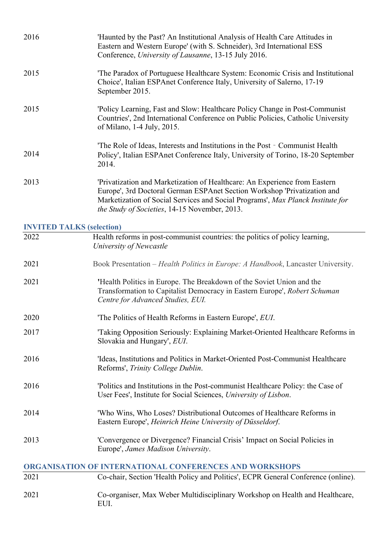| 2016 | 'Haunted by the Past? An Institutional Analysis of Health Care Attitudes in<br>Eastern and Western Europe' (with S. Schneider), 3rd International ESS<br>Conference, University of Lausanne, 13-15 July 2016.                                                                              |
|------|--------------------------------------------------------------------------------------------------------------------------------------------------------------------------------------------------------------------------------------------------------------------------------------------|
| 2015 | The Paradox of Portuguese Healthcare System: Economic Crisis and Institutional<br>Choice', Italian ESPAnet Conference Italy, University of Salerno, 17-19<br>September 2015.                                                                                                               |
| 2015 | 'Policy Learning, Fast and Slow: Healthcare Policy Change in Post-Communist<br>Countries', 2nd International Conference on Public Policies, Catholic University<br>of Milano, 1-4 July, 2015.                                                                                              |
| 2014 | The Role of Ideas, Interests and Institutions in the Post - Communist Health<br>Policy', Italian ESPAnet Conference Italy, University of Torino, 18-20 September<br>2014.                                                                                                                  |
| 2013 | 'Privatization and Marketization of Healthcare: An Experience from Eastern<br>Europe', 3rd Doctoral German ESPAnet Section Workshop 'Privatization and<br>Marketization of Social Services and Social Programs', Max Planck Institute for<br>the Study of Societies, 14-15 November, 2013. |
|      | <b>INVITED TALKS (selection)</b>                                                                                                                                                                                                                                                           |
| 2022 | Health reforms in post-communist countries: the politics of policy learning,<br>University of Newcastle                                                                                                                                                                                    |
| 2021 | Book Presentation - Health Politics in Europe: A Handbook, Lancaster University.                                                                                                                                                                                                           |
| 2021 | 'Health Politics in Europe. The Breakdown of the Soviet Union and the<br>Transformation to Capitalist Democracy in Eastern Europe', Robert Schuman<br>Centre for Advanced Studies, EUI.                                                                                                    |
| 2020 | 'The Politics of Health Reforms in Eastern Europe', EUI.                                                                                                                                                                                                                                   |
| 2017 | 'Taking Opposition Seriously: Explaining Market-Oriented Healthcare Reforms in<br>Slovakia and Hungary', EUI.                                                                                                                                                                              |
| 2016 | 'Ideas, Institutions and Politics in Market-Oriented Post-Communist Healthcare<br>Reforms', Trinity College Dublin.                                                                                                                                                                        |
| 2016 | Politics and Institutions in the Post-communist Healthcare Policy: the Case of<br>User Fees', Institute for Social Sciences, University of Lisbon.                                                                                                                                         |
| 2014 | 'Who Wins, Who Loses? Distributional Outcomes of Healthcare Reforms in<br>Eastern Europe', Heinrich Heine University of Düsseldorf.                                                                                                                                                        |
| 2013 | 'Convergence or Divergence? Financial Crisis' Impact on Social Policies in<br>Europe', James Madison University.                                                                                                                                                                           |
|      | ORGANISATION OF INTERNATIONAL CONFERENCES AND WORKSHOPS                                                                                                                                                                                                                                    |
| 2021 | Co-chair, Section 'Health Policy and Politics', ECPR General Conference (online).                                                                                                                                                                                                          |
| 2021 | Co-organiser, Max Weber Multidisciplinary Workshop on Health and Healthcare,<br>EUI.                                                                                                                                                                                                       |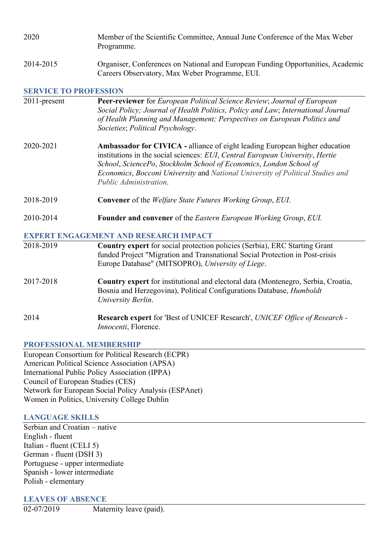| 2020 | Member of the Scientific Committee, Annual June Conference of the Max Weber |
|------|-----------------------------------------------------------------------------|
|      | Programme.                                                                  |

2014-2015 Organiser, Conferences on National and European Funding Opportunities, Academic Careers Observatory, Max Weber Programme, EUI.

#### **SERVICE TO PROFESSION**

| 2011-present | <b>Peer-reviewer</b> for <i>European Political Science Review</i> ; <i>Journal of European</i><br>Social Policy; Journal of Health Politics, Policy and Law; International Journal<br>of Health Planning and Management; Perspectives on European Politics and<br>Societies; Political Psychology.                                                    |
|--------------|-------------------------------------------------------------------------------------------------------------------------------------------------------------------------------------------------------------------------------------------------------------------------------------------------------------------------------------------------------|
| 2020-2021    | <b>Ambassador for CIVICA - alliance of eight leading European higher education</b><br>institutions in the social sciences: EUI, Central European University, Hertie<br>School, SciencePo, Stockholm School of Economics, London School of<br>Economics, Bocconi University and National University of Political Studies and<br>Public Administration. |
| 2018-2019    | <b>Convener</b> of the <i>Welfare State Futures Working Group, EUI.</i>                                                                                                                                                                                                                                                                               |
| 2010-2014    | <b>Founder and convener</b> of the <i>Eastern European Working Group</i> , <i>EUI</i> .                                                                                                                                                                                                                                                               |
|              | <b>EXPERT ENGAGEMENT AND RESEARCH IMPACT</b>                                                                                                                                                                                                                                                                                                          |
| 2018-2019    | <b>Country expert</b> for social protection policies (Serbia), ERC Starting Grant<br>funded Project "Migration and Transnational Social Protection in Post-crisis<br>Europe Database" (MITSOPRO), University of Liege.                                                                                                                                |
| 2017-2018    | <b>Country expert</b> for institutional and electoral data (Montenegro, Serbia, Croatia,                                                                                                                                                                                                                                                              |

2017-2018 **Country expert** for institutional and electoral data (Montenegro, Serbia, Croatia, Bosnia and Herzegovina), Political Configurations Database, *Humboldt University Berlin*.

2014 **Research expert** for 'Best of UNICEF Research', *UNICEF Office of Research - Innocenti*, Florence.

## **PROFESSIONAL MEMBERSHIP**

European Consortium for Political Research (ECPR) American Political Science Association (APSA) International Public Policy Association (IPPA) Council of European Studies (CES) Network for European Social Policy Analysis (ESPAnet) Women in Politics, University College Dublin

## **LANGUAGE SKILLS**

Serbian and Croatian – native English - fluent Italian - fluent (CELI 5) German - fluent (DSH 3) Portuguese - upper intermediate Spanish - lower intermediate Polish - elementary

#### **LEAVES OF ABSENCE**

02-07/2019 Maternity leave (paid).